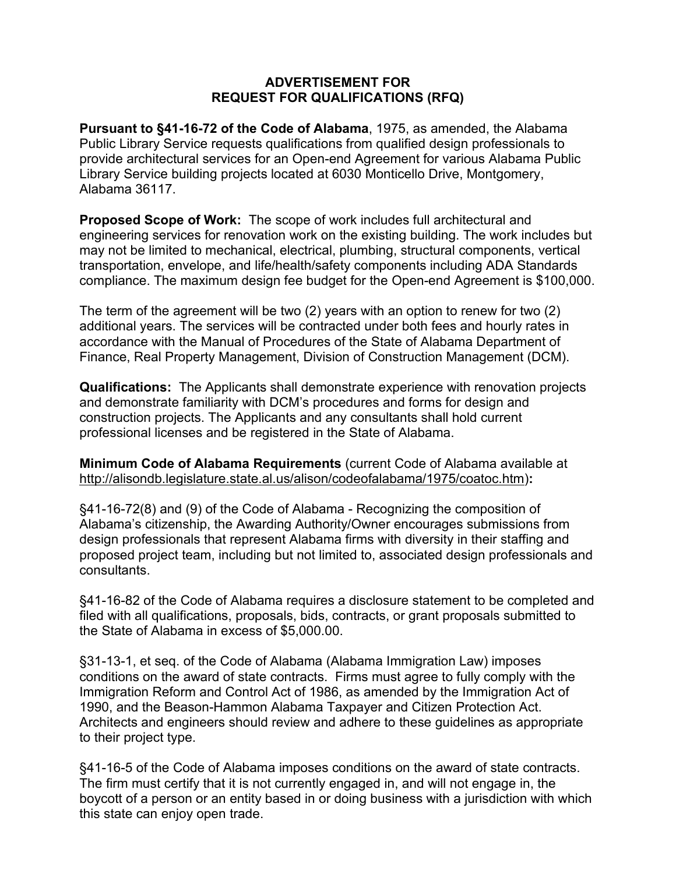## **ADVERTISEMENT FOR REQUEST FOR QUALIFICATIONS (RFQ)**

**Pursuant to §41-16-72 of the Code of Alabama**, 1975, as amended, the Alabama Public Library Service requests qualifications from qualified design professionals to provide architectural services for an Open-end Agreement for various Alabama Public Library Service building projects located at 6030 Monticello Drive, Montgomery, Alabama 36117.

**Proposed Scope of Work:** The scope of work includes full architectural and engineering services for renovation work on the existing building. The work includes but may not be limited to mechanical, electrical, plumbing, structural components, vertical transportation, envelope, and life/health/safety components including ADA Standards compliance. The maximum design fee budget for the Open-end Agreement is \$100,000.

The term of the agreement will be two (2) years with an option to renew for two (2) additional years. The services will be contracted under both fees and hourly rates in accordance with the Manual of Procedures of the State of Alabama Department of Finance, Real Property Management, Division of Construction Management (DCM).

**Qualifications:** The Applicants shall demonstrate experience with renovation projects and demonstrate familiarity with DCM's procedures and forms for design and construction projects. The Applicants and any consultants shall hold current professional licenses and be registered in the State of Alabama.

**Minimum Code of Alabama Requirements** (current Code of Alabama available at [http://alisondb.legislature.state.al.us/alison/codeofalabama/1975/coatoc.htm\)](http://alisondb.legislature.state.al.us/alison/codeofalabama/1975/coatoc.htm)**:**

§41-16-72(8) and (9) of the Code of Alabama - Recognizing the composition of Alabama's citizenship, the Awarding Authority/Owner encourages submissions from design professionals that represent Alabama firms with diversity in their staffing and proposed project team, including but not limited to, associated design professionals and consultants.

§41-16-82 of the Code of Alabama requires a disclosure statement to be completed and filed with all qualifications, proposals, bids, contracts, or grant proposals submitted to the State of Alabama in excess of \$5,000.00.

§31-13-1, et seq. of the Code of Alabama (Alabama Immigration Law) imposes conditions on the award of state contracts. Firms must agree to fully comply with the Immigration Reform and Control Act of 1986, as amended by the Immigration Act of 1990, and the Beason-Hammon Alabama Taxpayer and Citizen Protection Act. Architects and engineers should review and adhere to these guidelines as appropriate to their project type.

§41-16-5 of the Code of Alabama imposes conditions on the award of state contracts. The firm must certify that it is not currently engaged in, and will not engage in, the boycott of a person or an entity based in or doing business with a jurisdiction with which this state can enjoy open trade.